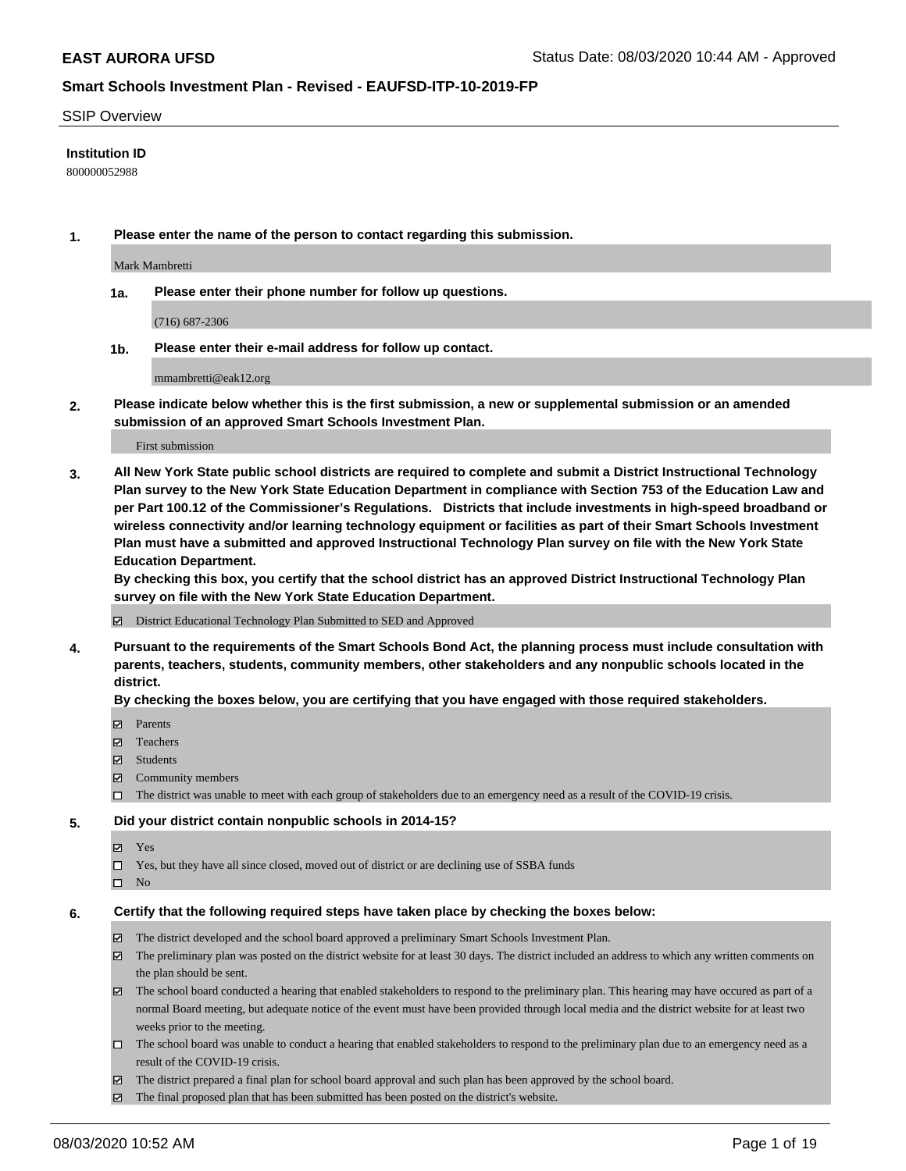#### SSIP Overview

### **Institution ID**

800000052988

**1. Please enter the name of the person to contact regarding this submission.**

Mark Mambretti

**1a. Please enter their phone number for follow up questions.**

(716) 687-2306

**1b. Please enter their e-mail address for follow up contact.**

mmambretti@eak12.org

**2. Please indicate below whether this is the first submission, a new or supplemental submission or an amended submission of an approved Smart Schools Investment Plan.**

### First submission

**3. All New York State public school districts are required to complete and submit a District Instructional Technology Plan survey to the New York State Education Department in compliance with Section 753 of the Education Law and per Part 100.12 of the Commissioner's Regulations. Districts that include investments in high-speed broadband or wireless connectivity and/or learning technology equipment or facilities as part of their Smart Schools Investment Plan must have a submitted and approved Instructional Technology Plan survey on file with the New York State Education Department.** 

**By checking this box, you certify that the school district has an approved District Instructional Technology Plan survey on file with the New York State Education Department.**

District Educational Technology Plan Submitted to SED and Approved

**4. Pursuant to the requirements of the Smart Schools Bond Act, the planning process must include consultation with parents, teachers, students, community members, other stakeholders and any nonpublic schools located in the district.** 

#### **By checking the boxes below, you are certifying that you have engaged with those required stakeholders.**

- **Ø** Parents
- Teachers
- Students
- $\boxtimes$  Community members
- The district was unable to meet with each group of stakeholders due to an emergency need as a result of the COVID-19 crisis.

### **5. Did your district contain nonpublic schools in 2014-15?**

- **冈** Yes
- Yes, but they have all since closed, moved out of district or are declining use of SSBA funds
- $\square$  No

#### **6. Certify that the following required steps have taken place by checking the boxes below:**

- The district developed and the school board approved a preliminary Smart Schools Investment Plan.
- $\boxtimes$  The preliminary plan was posted on the district website for at least 30 days. The district included an address to which any written comments on the plan should be sent.
- The school board conducted a hearing that enabled stakeholders to respond to the preliminary plan. This hearing may have occured as part of a normal Board meeting, but adequate notice of the event must have been provided through local media and the district website for at least two weeks prior to the meeting.
- The school board was unable to conduct a hearing that enabled stakeholders to respond to the preliminary plan due to an emergency need as a result of the COVID-19 crisis.
- The district prepared a final plan for school board approval and such plan has been approved by the school board.
- $\boxtimes$  The final proposed plan that has been submitted has been posted on the district's website.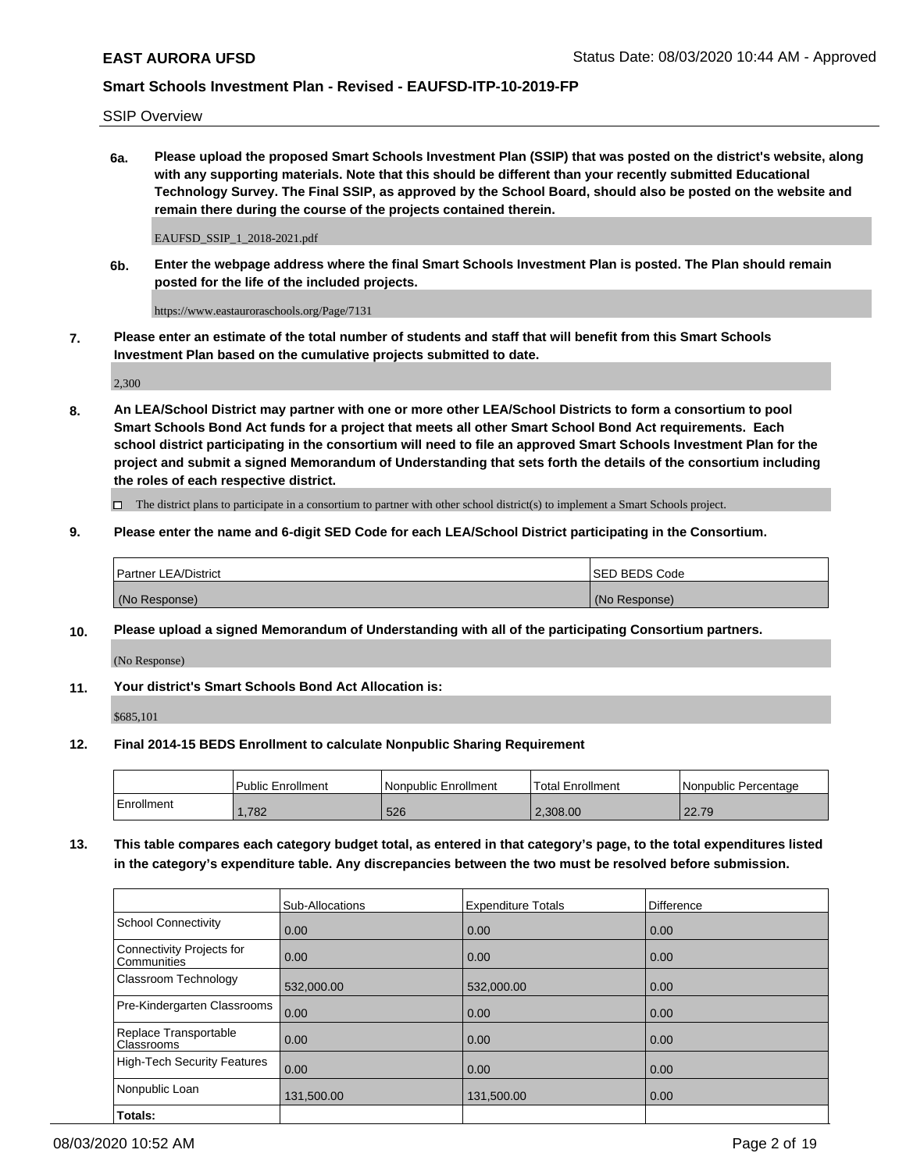SSIP Overview

**6a. Please upload the proposed Smart Schools Investment Plan (SSIP) that was posted on the district's website, along with any supporting materials. Note that this should be different than your recently submitted Educational Technology Survey. The Final SSIP, as approved by the School Board, should also be posted on the website and remain there during the course of the projects contained therein.**

EAUFSD\_SSIP\_1\_2018-2021.pdf

**6b. Enter the webpage address where the final Smart Schools Investment Plan is posted. The Plan should remain posted for the life of the included projects.**

https://www.eastauroraschools.org/Page/7131

**7. Please enter an estimate of the total number of students and staff that will benefit from this Smart Schools Investment Plan based on the cumulative projects submitted to date.**

2,300

**8. An LEA/School District may partner with one or more other LEA/School Districts to form a consortium to pool Smart Schools Bond Act funds for a project that meets all other Smart School Bond Act requirements. Each school district participating in the consortium will need to file an approved Smart Schools Investment Plan for the project and submit a signed Memorandum of Understanding that sets forth the details of the consortium including the roles of each respective district.**

 $\Box$  The district plans to participate in a consortium to partner with other school district(s) to implement a Smart Schools project.

### **9. Please enter the name and 6-digit SED Code for each LEA/School District participating in the Consortium.**

| Partner LEA/District | <b>ISED BEDS Code</b> |
|----------------------|-----------------------|
| (No Response)        | (No Response)         |

### **10. Please upload a signed Memorandum of Understanding with all of the participating Consortium partners.**

(No Response)

**11. Your district's Smart Schools Bond Act Allocation is:**

\$685,101

#### **12. Final 2014-15 BEDS Enrollment to calculate Nonpublic Sharing Requirement**

|            | Public Enrollment | Nonpublic Enrollment | <b>Total Enrollment</b> | I Nonpublic Percentage |
|------------|-------------------|----------------------|-------------------------|------------------------|
| Enrollment | .782              | 526                  | 2.308.00                | 22.79                  |

**13. This table compares each category budget total, as entered in that category's page, to the total expenditures listed in the category's expenditure table. Any discrepancies between the two must be resolved before submission.**

|                                          | Sub-Allocations | <b>Expenditure Totals</b> | <b>Difference</b> |
|------------------------------------------|-----------------|---------------------------|-------------------|
| <b>School Connectivity</b>               | 0.00            | 0.00                      | 0.00              |
| Connectivity Projects for<br>Communities | 0.00            | 0.00                      | 0.00              |
| Classroom Technology                     | 532,000.00      | 532,000.00                | 0.00              |
| Pre-Kindergarten Classrooms              | 0.00            | 0.00                      | 0.00              |
| Replace Transportable<br>Classrooms      | 0.00            | 0.00                      | 0.00              |
| <b>High-Tech Security Features</b>       | 0.00            | 0.00                      | 0.00              |
| Nonpublic Loan                           | 131,500.00      | 131,500.00                | 0.00              |
| Totals:                                  |                 |                           |                   |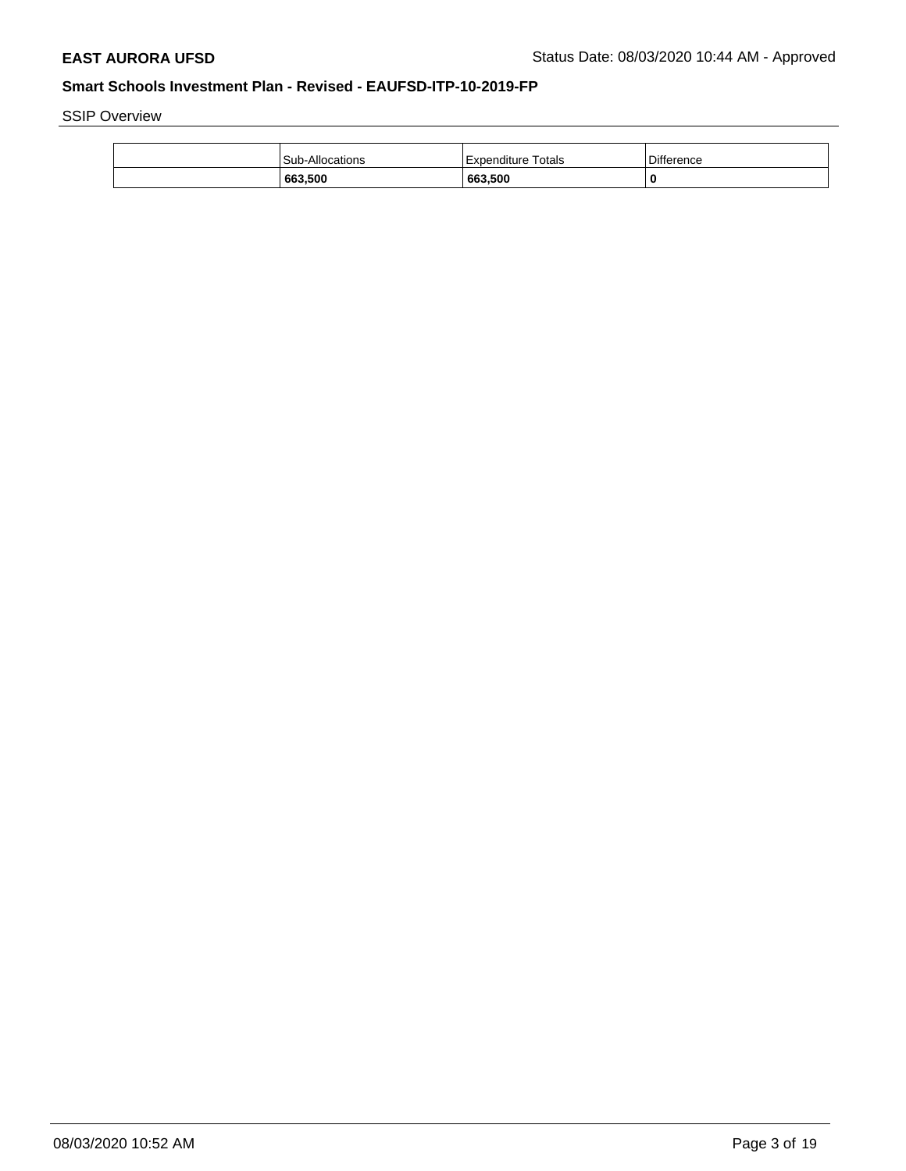SSIP Overview

| <b>Difference</b><br>Expenditure Totals<br><b>Sub-Allocations</b> |
|-------------------------------------------------------------------|
|                                                                   |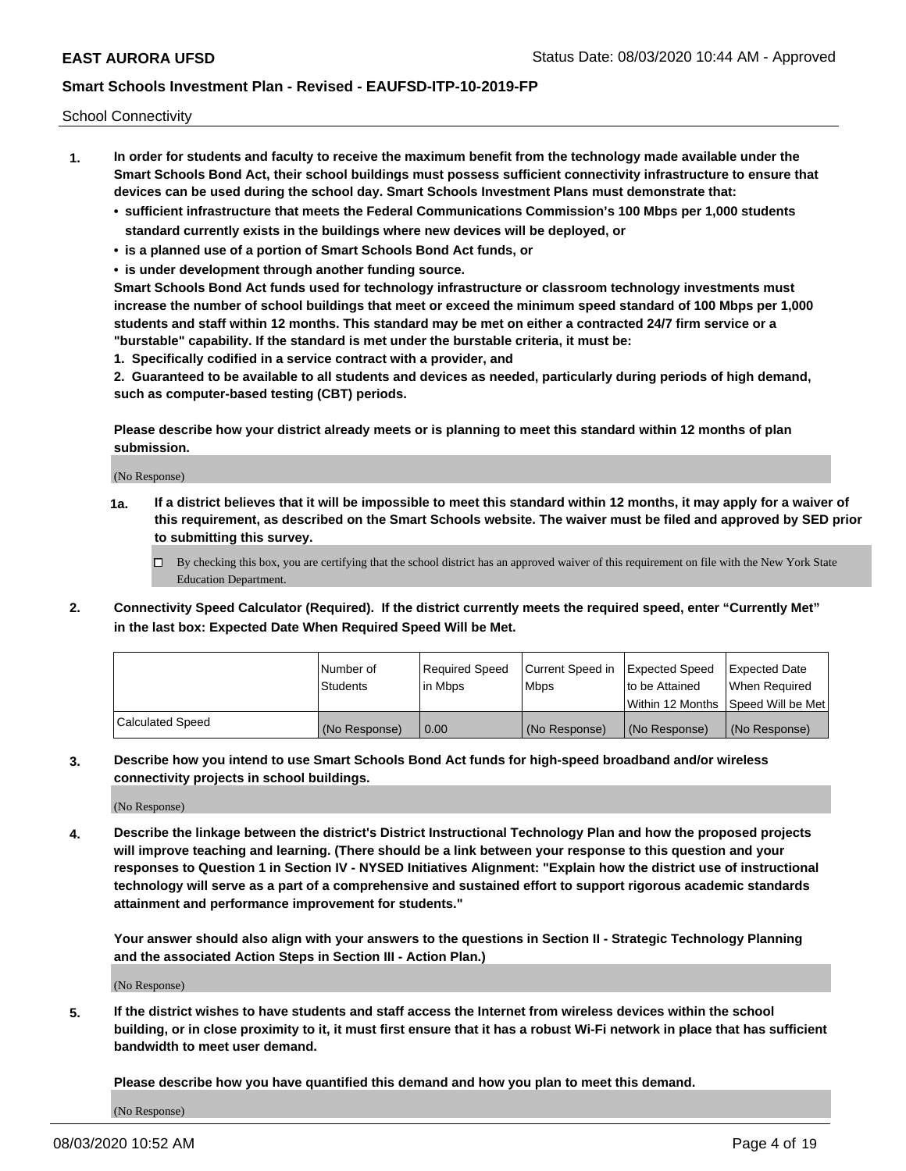School Connectivity

- **1. In order for students and faculty to receive the maximum benefit from the technology made available under the Smart Schools Bond Act, their school buildings must possess sufficient connectivity infrastructure to ensure that devices can be used during the school day. Smart Schools Investment Plans must demonstrate that:**
	- **• sufficient infrastructure that meets the Federal Communications Commission's 100 Mbps per 1,000 students standard currently exists in the buildings where new devices will be deployed, or**
	- **• is a planned use of a portion of Smart Schools Bond Act funds, or**
	- **• is under development through another funding source.**

**Smart Schools Bond Act funds used for technology infrastructure or classroom technology investments must increase the number of school buildings that meet or exceed the minimum speed standard of 100 Mbps per 1,000 students and staff within 12 months. This standard may be met on either a contracted 24/7 firm service or a "burstable" capability. If the standard is met under the burstable criteria, it must be:**

**1. Specifically codified in a service contract with a provider, and**

**2. Guaranteed to be available to all students and devices as needed, particularly during periods of high demand, such as computer-based testing (CBT) periods.**

**Please describe how your district already meets or is planning to meet this standard within 12 months of plan submission.**

(No Response)

**1a. If a district believes that it will be impossible to meet this standard within 12 months, it may apply for a waiver of this requirement, as described on the Smart Schools website. The waiver must be filed and approved by SED prior to submitting this survey.**

 $\Box$  By checking this box, you are certifying that the school district has an approved waiver of this requirement on file with the New York State Education Department.

**2. Connectivity Speed Calculator (Required). If the district currently meets the required speed, enter "Currently Met" in the last box: Expected Date When Required Speed Will be Met.**

|                  | l Number of     | Reauired Speed | Current Speed in | <b>Expected Speed</b> | Expected Date                        |
|------------------|-----------------|----------------|------------------|-----------------------|--------------------------------------|
|                  | <b>Students</b> | l in Mbps      | l Mbps           | to be Attained        | When Required                        |
|                  |                 |                |                  |                       | Within 12 Months   Speed Will be Met |
| Calculated Speed | (No Response)   | 0.00           | (No Response)    | (No Response)         | (No Response)                        |

**3. Describe how you intend to use Smart Schools Bond Act funds for high-speed broadband and/or wireless connectivity projects in school buildings.**

(No Response)

**4. Describe the linkage between the district's District Instructional Technology Plan and how the proposed projects will improve teaching and learning. (There should be a link between your response to this question and your responses to Question 1 in Section IV - NYSED Initiatives Alignment: "Explain how the district use of instructional technology will serve as a part of a comprehensive and sustained effort to support rigorous academic standards attainment and performance improvement for students."** 

**Your answer should also align with your answers to the questions in Section II - Strategic Technology Planning and the associated Action Steps in Section III - Action Plan.)**

(No Response)

**5. If the district wishes to have students and staff access the Internet from wireless devices within the school building, or in close proximity to it, it must first ensure that it has a robust Wi-Fi network in place that has sufficient bandwidth to meet user demand.**

**Please describe how you have quantified this demand and how you plan to meet this demand.**

(No Response)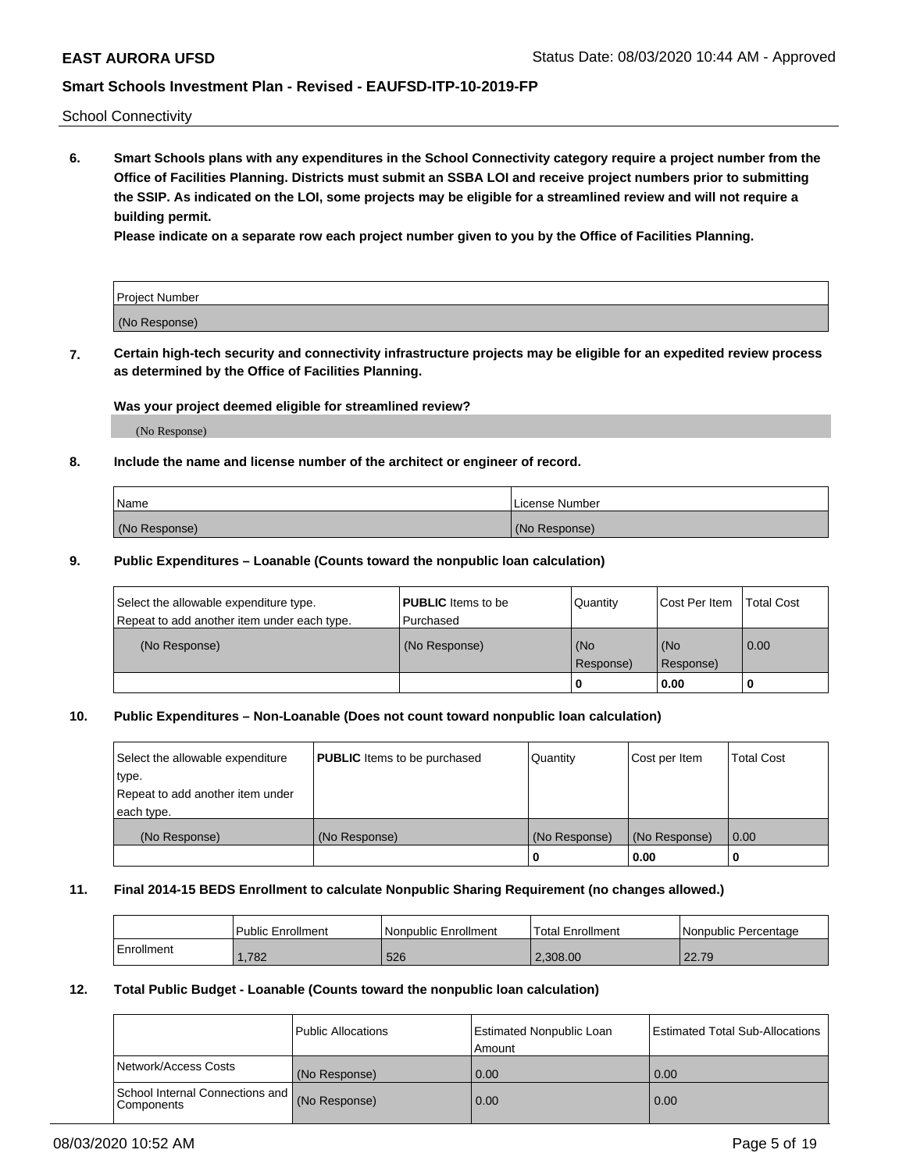School Connectivity

**6. Smart Schools plans with any expenditures in the School Connectivity category require a project number from the Office of Facilities Planning. Districts must submit an SSBA LOI and receive project numbers prior to submitting the SSIP. As indicated on the LOI, some projects may be eligible for a streamlined review and will not require a building permit.**

**Please indicate on a separate row each project number given to you by the Office of Facilities Planning.**

| Project Number |  |
|----------------|--|
| (No Response)  |  |

**7. Certain high-tech security and connectivity infrastructure projects may be eligible for an expedited review process as determined by the Office of Facilities Planning.**

### **Was your project deemed eligible for streamlined review?**

(No Response)

### **8. Include the name and license number of the architect or engineer of record.**

| Name          | License Number |
|---------------|----------------|
| (No Response) | (No Response)  |

### **9. Public Expenditures – Loanable (Counts toward the nonpublic loan calculation)**

| Select the allowable expenditure type.<br>Repeat to add another item under each type. | <b>PUBLIC</b> Items to be<br>l Purchased | Quantity           | Cost Per Item    | <b>Total Cost</b> |
|---------------------------------------------------------------------------------------|------------------------------------------|--------------------|------------------|-------------------|
| (No Response)                                                                         | (No Response)                            | l (No<br>Response) | (No<br>Response) | $\overline{0.00}$ |
|                                                                                       |                                          | 0                  | 0.00             |                   |

### **10. Public Expenditures – Non-Loanable (Does not count toward nonpublic loan calculation)**

| Select the allowable expenditure<br>type.<br>Repeat to add another item under<br>each type. | <b>PUBLIC</b> Items to be purchased | Quantity      | Cost per Item | <b>Total Cost</b> |
|---------------------------------------------------------------------------------------------|-------------------------------------|---------------|---------------|-------------------|
| (No Response)                                                                               | (No Response)                       | (No Response) | (No Response) | 0.00              |
|                                                                                             |                                     |               | 0.00          |                   |

#### **11. Final 2014-15 BEDS Enrollment to calculate Nonpublic Sharing Requirement (no changes allowed.)**

|            | Public Enrollment | Nonpublic Enrollment | 'Total Enrollment | l Nonpublic Percentage |
|------------|-------------------|----------------------|-------------------|------------------------|
| Enrollment | 1,782             | 526                  | 2.308.00          | 22.79                  |

### **12. Total Public Budget - Loanable (Counts toward the nonpublic loan calculation)**

|                                               | Public Allocations | <b>Estimated Nonpublic Loan</b><br>Amount | Estimated Total Sub-Allocations |
|-----------------------------------------------|--------------------|-------------------------------------------|---------------------------------|
| Network/Access Costs                          | (No Response)      | 0.00                                      | 0.00                            |
| School Internal Connections and<br>Components | (No Response)      | 0.00                                      | 0.00                            |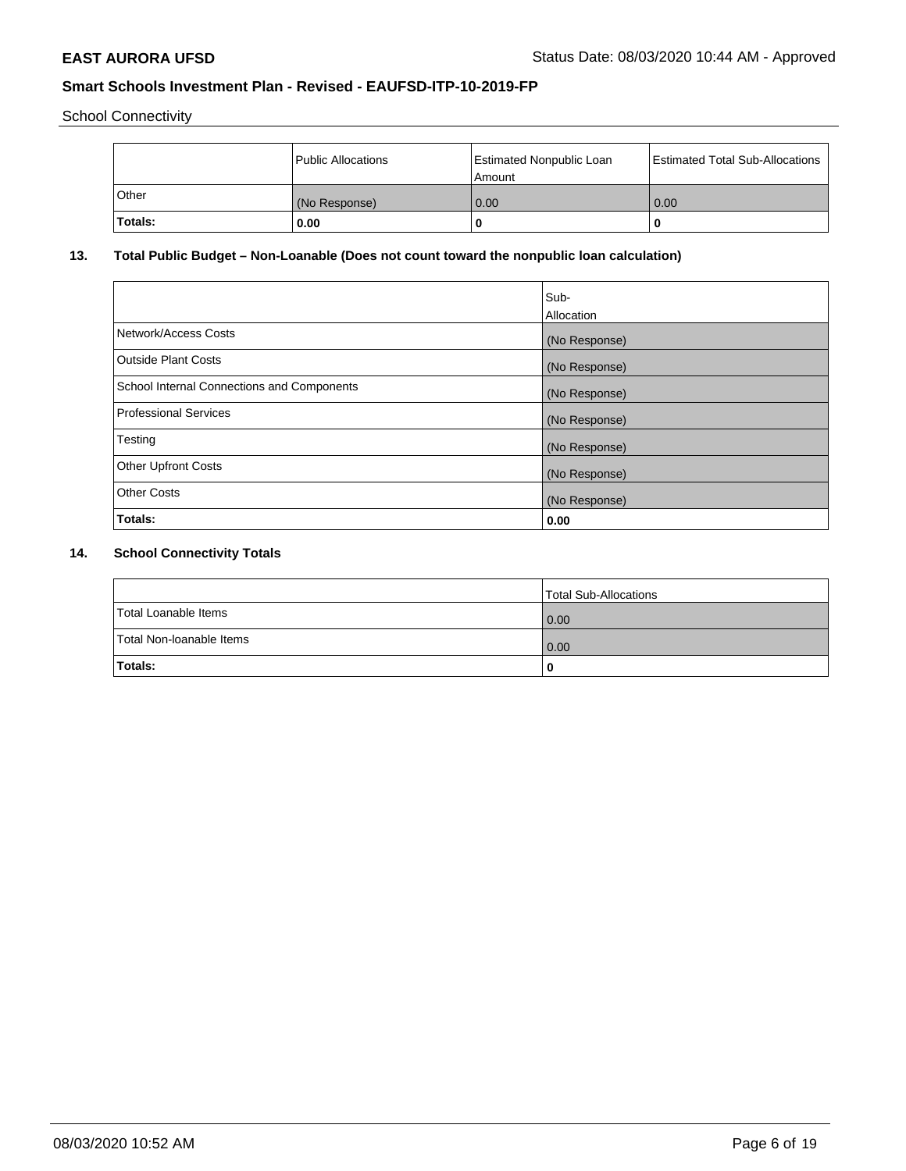School Connectivity

|                | Public Allocations | <b>Estimated Nonpublic Loan</b><br>l Amount | <b>Estimated Total Sub-Allocations</b> |
|----------------|--------------------|---------------------------------------------|----------------------------------------|
| l Other        | (No Response)      | 0.00                                        | 0.00                                   |
| <b>Totals:</b> | 0.00               | 0                                           |                                        |

## **13. Total Public Budget – Non-Loanable (Does not count toward the nonpublic loan calculation)**

|                                                   | Sub-<br>Allocation |
|---------------------------------------------------|--------------------|
| Network/Access Costs                              | (No Response)      |
| <b>Outside Plant Costs</b>                        | (No Response)      |
| <b>School Internal Connections and Components</b> | (No Response)      |
| Professional Services                             | (No Response)      |
| Testing                                           | (No Response)      |
| <b>Other Upfront Costs</b>                        | (No Response)      |
| <b>Other Costs</b>                                | (No Response)      |
| <b>Totals:</b>                                    | 0.00               |

# **14. School Connectivity Totals**

|                          | Total Sub-Allocations |
|--------------------------|-----------------------|
| Total Loanable Items     | 0.00                  |
| Total Non-Ioanable Items | 0.00                  |
| Totals:                  | 0                     |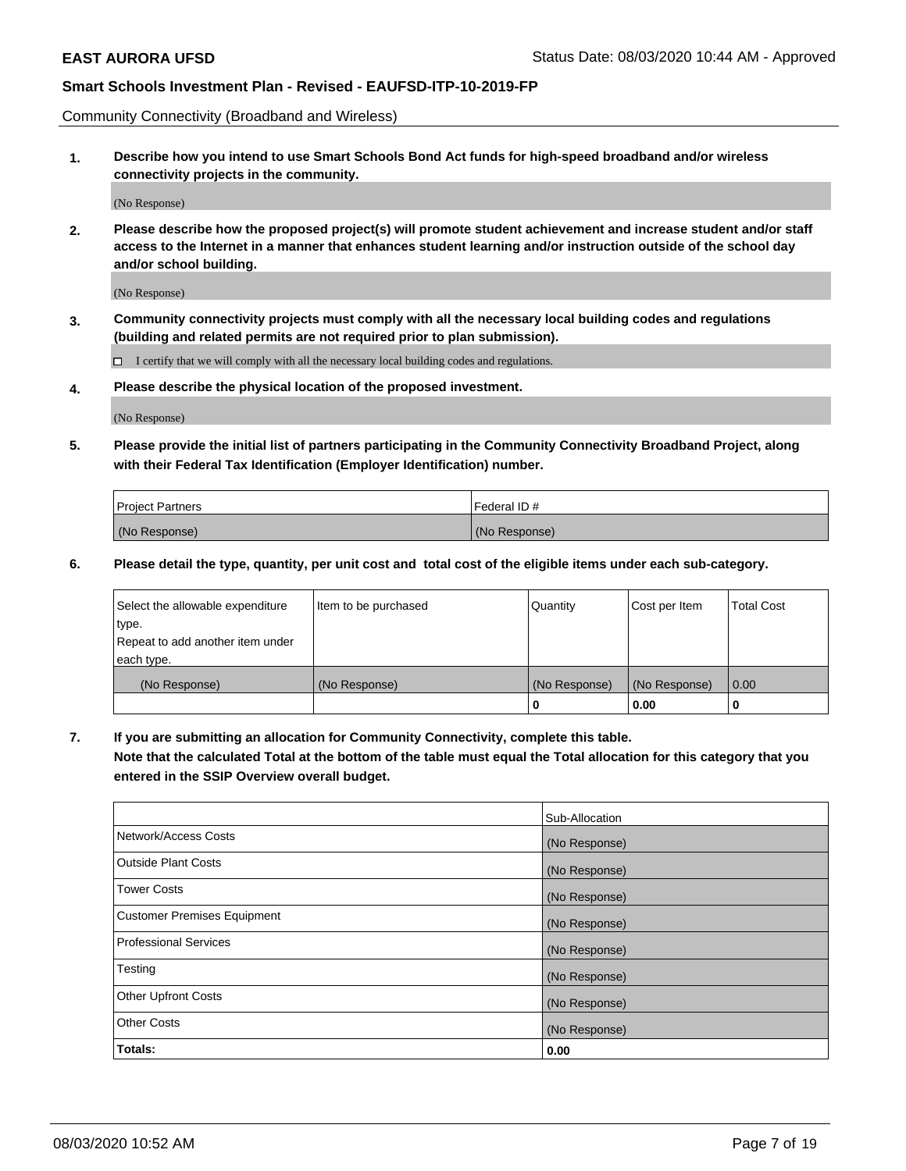Community Connectivity (Broadband and Wireless)

**1. Describe how you intend to use Smart Schools Bond Act funds for high-speed broadband and/or wireless connectivity projects in the community.**

(No Response)

**2. Please describe how the proposed project(s) will promote student achievement and increase student and/or staff access to the Internet in a manner that enhances student learning and/or instruction outside of the school day and/or school building.**

(No Response)

**3. Community connectivity projects must comply with all the necessary local building codes and regulations (building and related permits are not required prior to plan submission).**

 $\Box$  I certify that we will comply with all the necessary local building codes and regulations.

**4. Please describe the physical location of the proposed investment.**

(No Response)

**5. Please provide the initial list of partners participating in the Community Connectivity Broadband Project, along with their Federal Tax Identification (Employer Identification) number.**

| <b>Project Partners</b> | l Federal ID # |
|-------------------------|----------------|
| (No Response)           | (No Response)  |

**6. Please detail the type, quantity, per unit cost and total cost of the eligible items under each sub-category.**

| Select the allowable expenditure | Item to be purchased | Quantity      | Cost per Item | <b>Total Cost</b> |
|----------------------------------|----------------------|---------------|---------------|-------------------|
| type.                            |                      |               |               |                   |
| Repeat to add another item under |                      |               |               |                   |
| each type.                       |                      |               |               |                   |
| (No Response)                    | (No Response)        | (No Response) | (No Response) | 0.00              |
|                                  |                      | U             | 0.00          |                   |

**7. If you are submitting an allocation for Community Connectivity, complete this table.**

**Note that the calculated Total at the bottom of the table must equal the Total allocation for this category that you entered in the SSIP Overview overall budget.**

|                                    | Sub-Allocation |
|------------------------------------|----------------|
| Network/Access Costs               | (No Response)  |
| Outside Plant Costs                | (No Response)  |
| <b>Tower Costs</b>                 | (No Response)  |
| <b>Customer Premises Equipment</b> | (No Response)  |
| <b>Professional Services</b>       | (No Response)  |
| Testing                            | (No Response)  |
| <b>Other Upfront Costs</b>         | (No Response)  |
| <b>Other Costs</b>                 | (No Response)  |
| Totals:                            | 0.00           |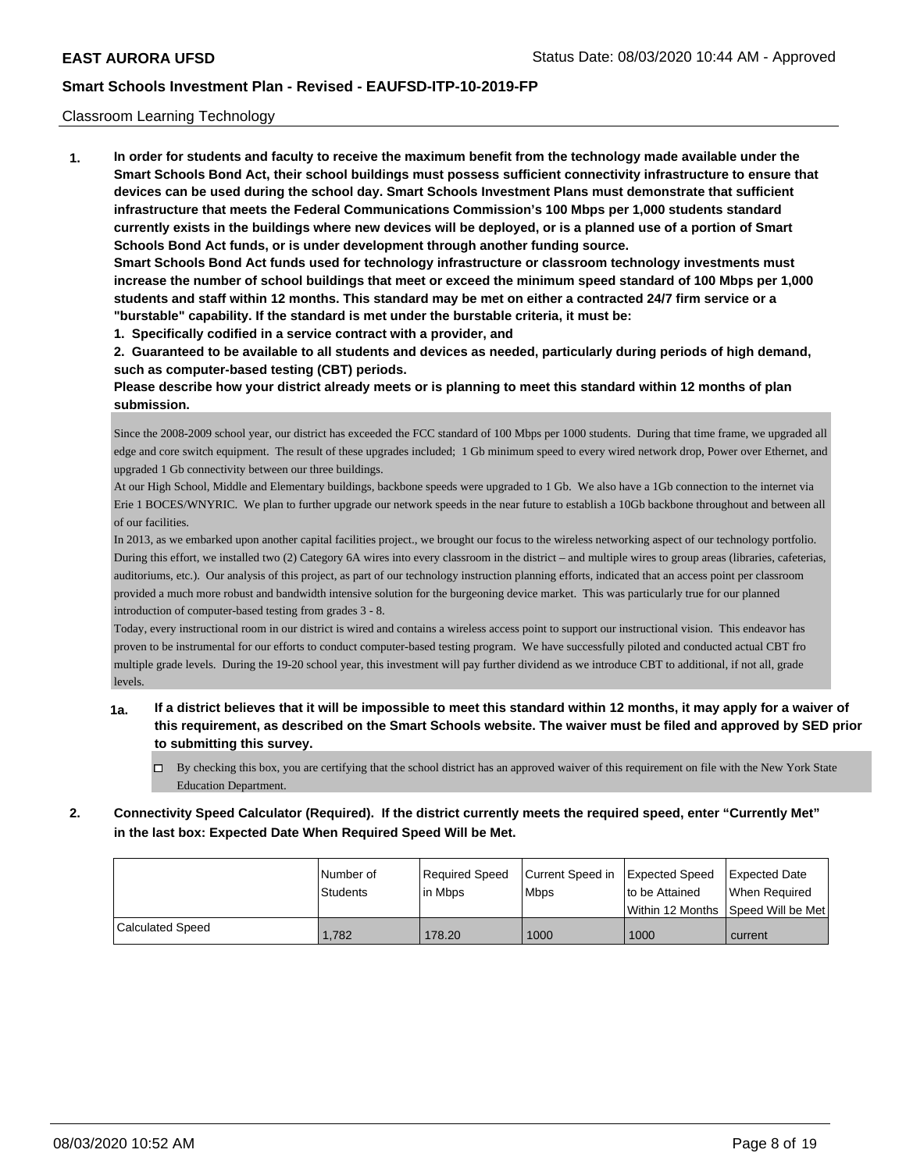### Classroom Learning Technology

**1. In order for students and faculty to receive the maximum benefit from the technology made available under the Smart Schools Bond Act, their school buildings must possess sufficient connectivity infrastructure to ensure that devices can be used during the school day. Smart Schools Investment Plans must demonstrate that sufficient infrastructure that meets the Federal Communications Commission's 100 Mbps per 1,000 students standard currently exists in the buildings where new devices will be deployed, or is a planned use of a portion of Smart Schools Bond Act funds, or is under development through another funding source. Smart Schools Bond Act funds used for technology infrastructure or classroom technology investments must**

**increase the number of school buildings that meet or exceed the minimum speed standard of 100 Mbps per 1,000 students and staff within 12 months. This standard may be met on either a contracted 24/7 firm service or a "burstable" capability. If the standard is met under the burstable criteria, it must be:**

**1. Specifically codified in a service contract with a provider, and**

**2. Guaranteed to be available to all students and devices as needed, particularly during periods of high demand, such as computer-based testing (CBT) periods.**

**Please describe how your district already meets or is planning to meet this standard within 12 months of plan submission.**

Since the 2008-2009 school year, our district has exceeded the FCC standard of 100 Mbps per 1000 students. During that time frame, we upgraded all edge and core switch equipment. The result of these upgrades included; 1 Gb minimum speed to every wired network drop, Power over Ethernet, and upgraded 1 Gb connectivity between our three buildings.

At our High School, Middle and Elementary buildings, backbone speeds were upgraded to 1 Gb. We also have a 1Gb connection to the internet via Erie 1 BOCES/WNYRIC. We plan to further upgrade our network speeds in the near future to establish a 10Gb backbone throughout and between all of our facilities.

In 2013, as we embarked upon another capital facilities project., we brought our focus to the wireless networking aspect of our technology portfolio. During this effort, we installed two (2) Category 6A wires into every classroom in the district – and multiple wires to group areas (libraries, cafeterias, auditoriums, etc.). Our analysis of this project, as part of our technology instruction planning efforts, indicated that an access point per classroom provided a much more robust and bandwidth intensive solution for the burgeoning device market. This was particularly true for our planned introduction of computer-based testing from grades 3 - 8.

Today, every instructional room in our district is wired and contains a wireless access point to support our instructional vision. This endeavor has proven to be instrumental for our efforts to conduct computer-based testing program. We have successfully piloted and conducted actual CBT fro multiple grade levels. During the 19-20 school year, this investment will pay further dividend as we introduce CBT to additional, if not all, grade levels.

- **1a. If a district believes that it will be impossible to meet this standard within 12 months, it may apply for a waiver of this requirement, as described on the Smart Schools website. The waiver must be filed and approved by SED prior to submitting this survey.**
	- By checking this box, you are certifying that the school district has an approved waiver of this requirement on file with the New York State Education Department.
- **2. Connectivity Speed Calculator (Required). If the district currently meets the required speed, enter "Currently Met" in the last box: Expected Date When Required Speed Will be Met.**

|                  | l Number of | Required Speed | Current Speed in | Expected Speed  | Expected Date                           |
|------------------|-------------|----------------|------------------|-----------------|-----------------------------------------|
|                  | Students    | lin Mbps       | <b>Mbps</b>      | Ito be Attained | When Reauired                           |
|                  |             |                |                  |                 | l Within 12 Months ISpeed Will be Met l |
| Calculated Speed | 1.782       | 178.20         | 1000             | 1000            | current                                 |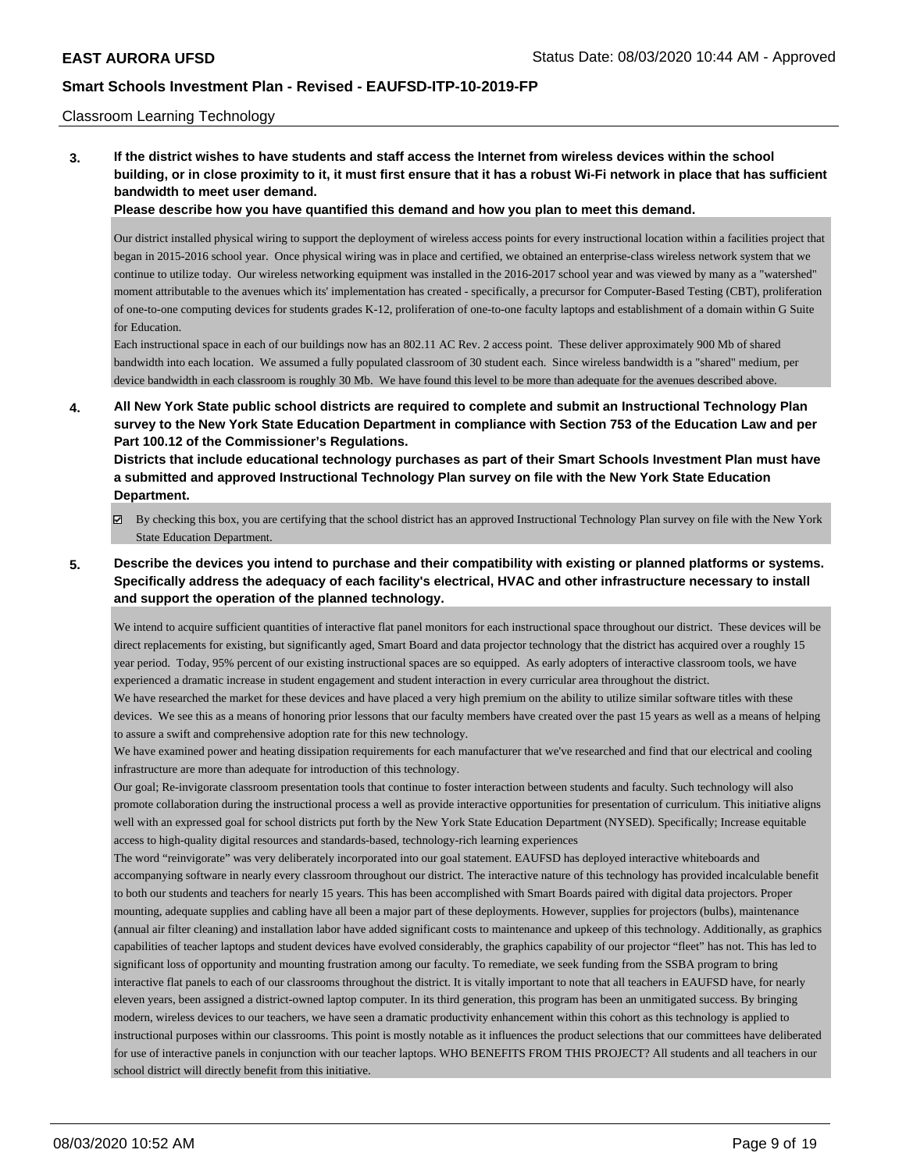### Classroom Learning Technology

**3. If the district wishes to have students and staff access the Internet from wireless devices within the school building, or in close proximity to it, it must first ensure that it has a robust Wi-Fi network in place that has sufficient bandwidth to meet user demand.**

**Please describe how you have quantified this demand and how you plan to meet this demand.**

Our district installed physical wiring to support the deployment of wireless access points for every instructional location within a facilities project that began in 2015-2016 school year. Once physical wiring was in place and certified, we obtained an enterprise-class wireless network system that we continue to utilize today. Our wireless networking equipment was installed in the 2016-2017 school year and was viewed by many as a "watershed" moment attributable to the avenues which its' implementation has created - specifically, a precursor for Computer-Based Testing (CBT), proliferation of one-to-one computing devices for students grades K-12, proliferation of one-to-one faculty laptops and establishment of a domain within G Suite for Education.

Each instructional space in each of our buildings now has an 802.11 AC Rev. 2 access point. These deliver approximately 900 Mb of shared bandwidth into each location. We assumed a fully populated classroom of 30 student each. Since wireless bandwidth is a "shared" medium, per device bandwidth in each classroom is roughly 30 Mb. We have found this level to be more than adequate for the avenues described above.

**4. All New York State public school districts are required to complete and submit an Instructional Technology Plan survey to the New York State Education Department in compliance with Section 753 of the Education Law and per Part 100.12 of the Commissioner's Regulations.**

**Districts that include educational technology purchases as part of their Smart Schools Investment Plan must have a submitted and approved Instructional Technology Plan survey on file with the New York State Education Department.**

- By checking this box, you are certifying that the school district has an approved Instructional Technology Plan survey on file with the New York State Education Department.
- **5. Describe the devices you intend to purchase and their compatibility with existing or planned platforms or systems. Specifically address the adequacy of each facility's electrical, HVAC and other infrastructure necessary to install and support the operation of the planned technology.**

We intend to acquire sufficient quantities of interactive flat panel monitors for each instructional space throughout our district. These devices will be direct replacements for existing, but significantly aged, Smart Board and data projector technology that the district has acquired over a roughly 15 year period. Today, 95% percent of our existing instructional spaces are so equipped. As early adopters of interactive classroom tools, we have experienced a dramatic increase in student engagement and student interaction in every curricular area throughout the district.

We have researched the market for these devices and have placed a very high premium on the ability to utilize similar software titles with these devices. We see this as a means of honoring prior lessons that our faculty members have created over the past 15 years as well as a means of helping to assure a swift and comprehensive adoption rate for this new technology.

We have examined power and heating dissipation requirements for each manufacturer that we've researched and find that our electrical and cooling infrastructure are more than adequate for introduction of this technology.

Our goal; Re-invigorate classroom presentation tools that continue to foster interaction between students and faculty. Such technology will also promote collaboration during the instructional process a well as provide interactive opportunities for presentation of curriculum. This initiative aligns well with an expressed goal for school districts put forth by the New York State Education Department (NYSED). Specifically; Increase equitable access to high-quality digital resources and standards-based, technology-rich learning experiences

The word "reinvigorate" was very deliberately incorporated into our goal statement. EAUFSD has deployed interactive whiteboards and accompanying software in nearly every classroom throughout our district. The interactive nature of this technology has provided incalculable benefit to both our students and teachers for nearly 15 years. This has been accomplished with Smart Boards paired with digital data projectors. Proper mounting, adequate supplies and cabling have all been a major part of these deployments. However, supplies for projectors (bulbs), maintenance (annual air filter cleaning) and installation labor have added significant costs to maintenance and upkeep of this technology. Additionally, as graphics capabilities of teacher laptops and student devices have evolved considerably, the graphics capability of our projector "fleet" has not. This has led to significant loss of opportunity and mounting frustration among our faculty. To remediate, we seek funding from the SSBA program to bring interactive flat panels to each of our classrooms throughout the district. It is vitally important to note that all teachers in EAUFSD have, for nearly eleven years, been assigned a district-owned laptop computer. In its third generation, this program has been an unmitigated success. By bringing modern, wireless devices to our teachers, we have seen a dramatic productivity enhancement within this cohort as this technology is applied to instructional purposes within our classrooms. This point is mostly notable as it influences the product selections that our committees have deliberated for use of interactive panels in conjunction with our teacher laptops. WHO BENEFITS FROM THIS PROJECT? All students and all teachers in our school district will directly benefit from this initiative.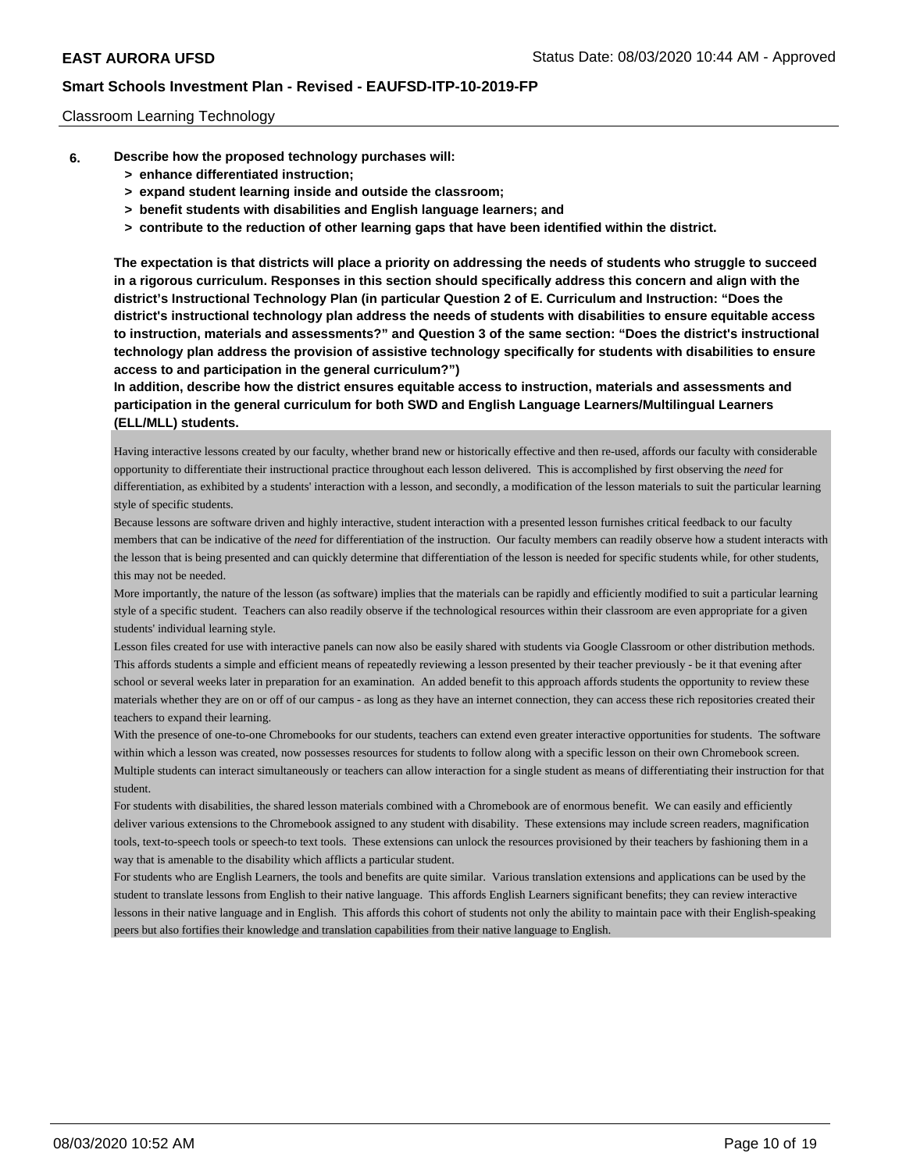### Classroom Learning Technology

- **6. Describe how the proposed technology purchases will:**
	- **> enhance differentiated instruction;**
	- **> expand student learning inside and outside the classroom;**
	- **> benefit students with disabilities and English language learners; and**
	- **> contribute to the reduction of other learning gaps that have been identified within the district.**

**The expectation is that districts will place a priority on addressing the needs of students who struggle to succeed in a rigorous curriculum. Responses in this section should specifically address this concern and align with the district's Instructional Technology Plan (in particular Question 2 of E. Curriculum and Instruction: "Does the district's instructional technology plan address the needs of students with disabilities to ensure equitable access to instruction, materials and assessments?" and Question 3 of the same section: "Does the district's instructional technology plan address the provision of assistive technology specifically for students with disabilities to ensure access to and participation in the general curriculum?")**

**In addition, describe how the district ensures equitable access to instruction, materials and assessments and participation in the general curriculum for both SWD and English Language Learners/Multilingual Learners (ELL/MLL) students.**

Having interactive lessons created by our faculty, whether brand new or historically effective and then re-used, affords our faculty with considerable opportunity to differentiate their instructional practice throughout each lesson delivered. This is accomplished by first observing the *need* for differentiation, as exhibited by a students' interaction with a lesson, and secondly, a modification of the lesson materials to suit the particular learning style of specific students.

Because lessons are software driven and highly interactive, student interaction with a presented lesson furnishes critical feedback to our faculty members that can be indicative of the *need* for differentiation of the instruction. Our faculty members can readily observe how a student interacts with the lesson that is being presented and can quickly determine that differentiation of the lesson is needed for specific students while, for other students, this may not be needed.

More importantly, the nature of the lesson (as software) implies that the materials can be rapidly and efficiently modified to suit a particular learning style of a specific student. Teachers can also readily observe if the technological resources within their classroom are even appropriate for a given students' individual learning style.

Lesson files created for use with interactive panels can now also be easily shared with students via Google Classroom or other distribution methods. This affords students a simple and efficient means of repeatedly reviewing a lesson presented by their teacher previously - be it that evening after school or several weeks later in preparation for an examination. An added benefit to this approach affords students the opportunity to review these materials whether they are on or off of our campus - as long as they have an internet connection, they can access these rich repositories created their teachers to expand their learning.

With the presence of one-to-one Chromebooks for our students, teachers can extend even greater interactive opportunities for students. The software within which a lesson was created, now possesses resources for students to follow along with a specific lesson on their own Chromebook screen. Multiple students can interact simultaneously or teachers can allow interaction for a single student as means of differentiating their instruction for that student.

For students with disabilities, the shared lesson materials combined with a Chromebook are of enormous benefit. We can easily and efficiently deliver various extensions to the Chromebook assigned to any student with disability. These extensions may include screen readers, magnification tools, text-to-speech tools or speech-to text tools. These extensions can unlock the resources provisioned by their teachers by fashioning them in a way that is amenable to the disability which afflicts a particular student.

For students who are English Learners, the tools and benefits are quite similar. Various translation extensions and applications can be used by the student to translate lessons from English to their native language. This affords English Learners significant benefits; they can review interactive lessons in their native language and in English. This affords this cohort of students not only the ability to maintain pace with their English-speaking peers but also fortifies their knowledge and translation capabilities from their native language to English.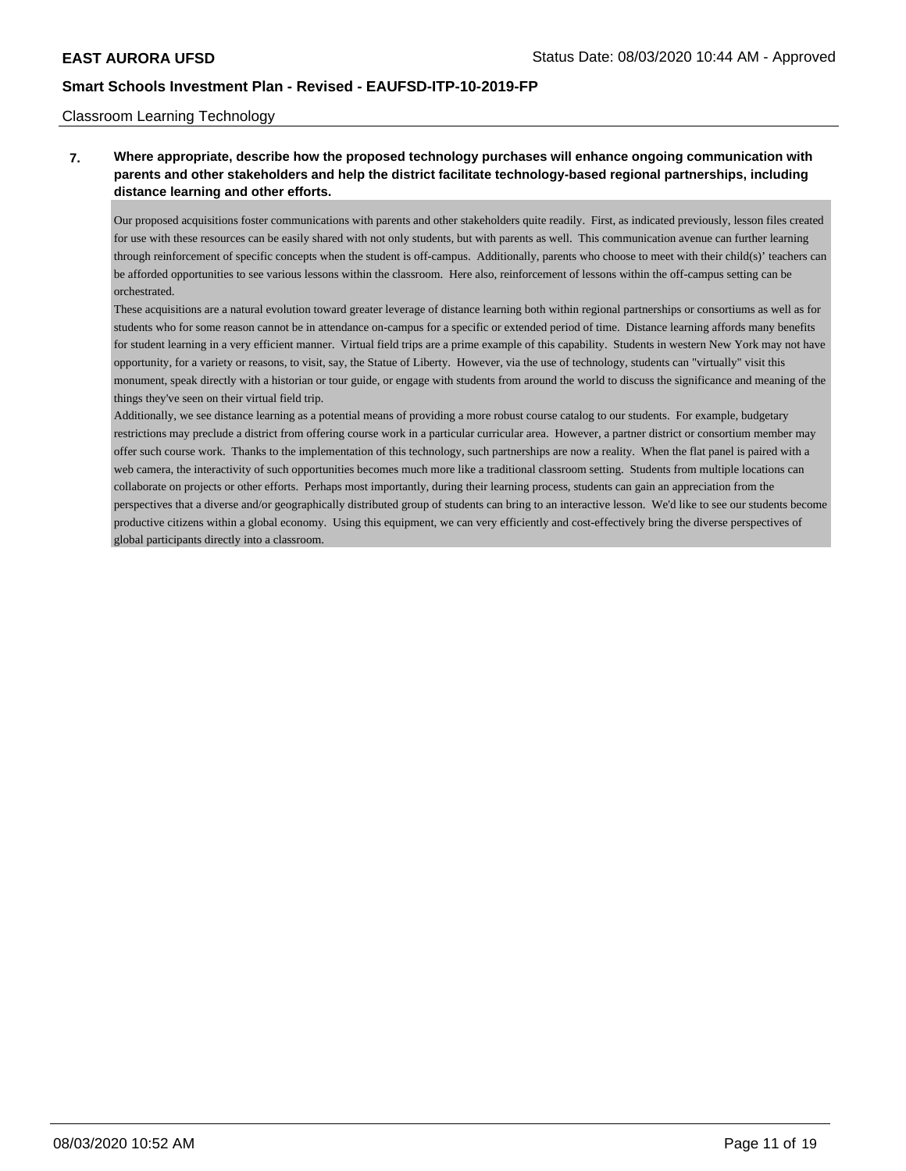### Classroom Learning Technology

## **7. Where appropriate, describe how the proposed technology purchases will enhance ongoing communication with parents and other stakeholders and help the district facilitate technology-based regional partnerships, including distance learning and other efforts.**

Our proposed acquisitions foster communications with parents and other stakeholders quite readily. First, as indicated previously, lesson files created for use with these resources can be easily shared with not only students, but with parents as well. This communication avenue can further learning through reinforcement of specific concepts when the student is off-campus. Additionally, parents who choose to meet with their child(s)' teachers can be afforded opportunities to see various lessons within the classroom. Here also, reinforcement of lessons within the off-campus setting can be orchestrated.

These acquisitions are a natural evolution toward greater leverage of distance learning both within regional partnerships or consortiums as well as for students who for some reason cannot be in attendance on-campus for a specific or extended period of time. Distance learning affords many benefits for student learning in a very efficient manner. Virtual field trips are a prime example of this capability. Students in western New York may not have opportunity, for a variety or reasons, to visit, say, the Statue of Liberty. However, via the use of technology, students can "virtually" visit this monument, speak directly with a historian or tour guide, or engage with students from around the world to discuss the significance and meaning of the things they've seen on their virtual field trip.

Additionally, we see distance learning as a potential means of providing a more robust course catalog to our students. For example, budgetary restrictions may preclude a district from offering course work in a particular curricular area. However, a partner district or consortium member may offer such course work. Thanks to the implementation of this technology, such partnerships are now a reality. When the flat panel is paired with a web camera, the interactivity of such opportunities becomes much more like a traditional classroom setting. Students from multiple locations can collaborate on projects or other efforts. Perhaps most importantly, during their learning process, students can gain an appreciation from the perspectives that a diverse and/or geographically distributed group of students can bring to an interactive lesson. We'd like to see our students become productive citizens within a global economy. Using this equipment, we can very efficiently and cost-effectively bring the diverse perspectives of global participants directly into a classroom.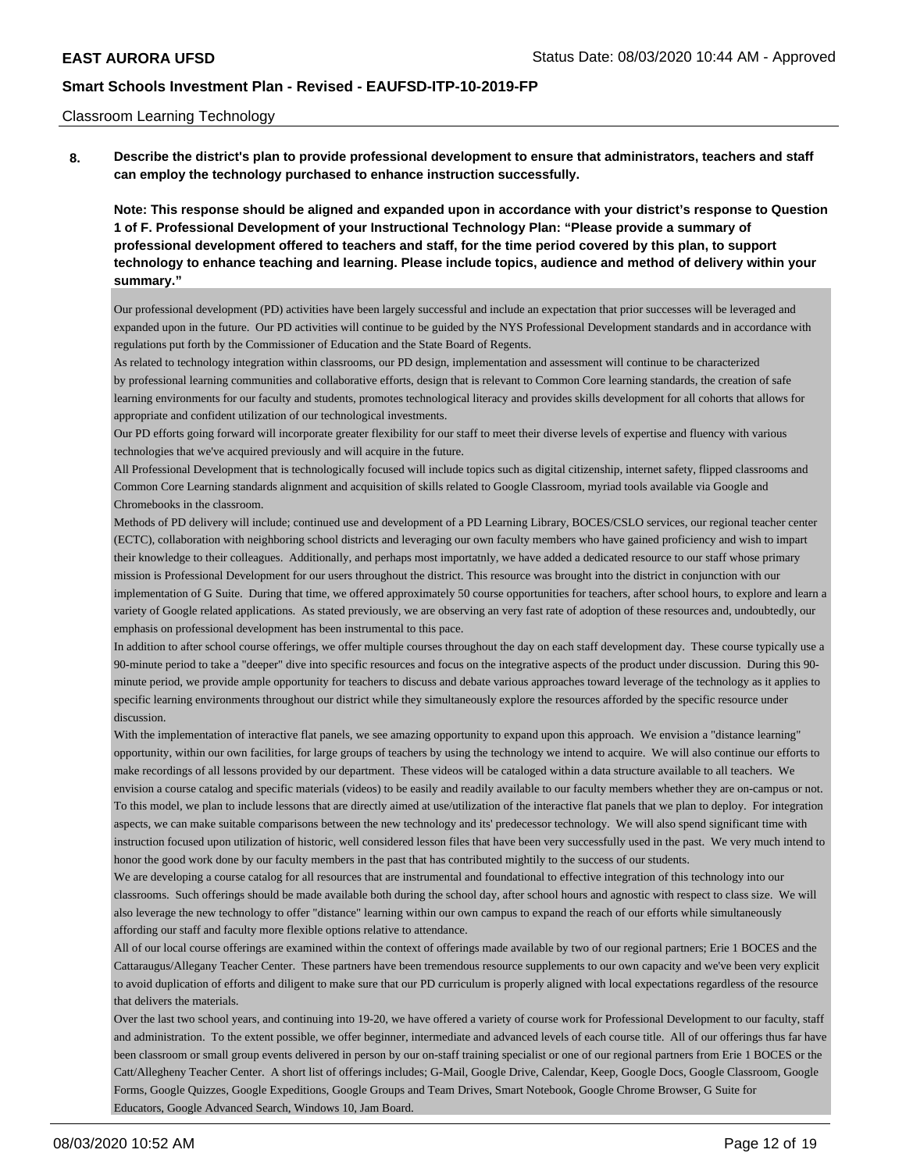### Classroom Learning Technology

**8. Describe the district's plan to provide professional development to ensure that administrators, teachers and staff can employ the technology purchased to enhance instruction successfully.**

**Note: This response should be aligned and expanded upon in accordance with your district's response to Question 1 of F. Professional Development of your Instructional Technology Plan: "Please provide a summary of professional development offered to teachers and staff, for the time period covered by this plan, to support technology to enhance teaching and learning. Please include topics, audience and method of delivery within your summary."**

Our professional development (PD) activities have been largely successful and include an expectation that prior successes will be leveraged and expanded upon in the future. Our PD activities will continue to be guided by the NYS Professional Development standards and in accordance with regulations put forth by the Commissioner of Education and the State Board of Regents.

As related to technology integration within classrooms, our PD design, implementation and assessment will continue to be characterized by professional learning communities and collaborative efforts, design that is relevant to Common Core learning standards, the creation of safe learning environments for our faculty and students, promotes technological literacy and provides skills development for all cohorts that allows for appropriate and confident utilization of our technological investments.

Our PD efforts going forward will incorporate greater flexibility for our staff to meet their diverse levels of expertise and fluency with various technologies that we've acquired previously and will acquire in the future.

All Professional Development that is technologically focused will include topics such as digital citizenship, internet safety, flipped classrooms and Common Core Learning standards alignment and acquisition of skills related to Google Classroom, myriad tools available via Google and Chromebooks in the classroom.

Methods of PD delivery will include; continued use and development of a PD Learning Library, BOCES/CSLO services, our regional teacher center (ECTC), collaboration with neighboring school districts and leveraging our own faculty members who have gained proficiency and wish to impart their knowledge to their colleagues. Additionally, and perhaps most importatnly, we have added a dedicated resource to our staff whose primary mission is Professional Development for our users throughout the district. This resource was brought into the district in conjunction with our implementation of G Suite. During that time, we offered approximately 50 course opportunities for teachers, after school hours, to explore and learn a variety of Google related applications. As stated previously, we are observing an very fast rate of adoption of these resources and, undoubtedly, our emphasis on professional development has been instrumental to this pace.

In addition to after school course offerings, we offer multiple courses throughout the day on each staff development day. These course typically use a 90-minute period to take a "deeper" dive into specific resources and focus on the integrative aspects of the product under discussion. During this 90 minute period, we provide ample opportunity for teachers to discuss and debate various approaches toward leverage of the technology as it applies to specific learning environments throughout our district while they simultaneously explore the resources afforded by the specific resource under discussion.

With the implementation of interactive flat panels, we see amazing opportunity to expand upon this approach. We envision a "distance learning" opportunity, within our own facilities, for large groups of teachers by using the technology we intend to acquire. We will also continue our efforts to make recordings of all lessons provided by our department. These videos will be cataloged within a data structure available to all teachers. We envision a course catalog and specific materials (videos) to be easily and readily available to our faculty members whether they are on-campus or not. To this model, we plan to include lessons that are directly aimed at use/utilization of the interactive flat panels that we plan to deploy. For integration aspects, we can make suitable comparisons between the new technology and its' predecessor technology. We will also spend significant time with instruction focused upon utilization of historic, well considered lesson files that have been very successfully used in the past. We very much intend to honor the good work done by our faculty members in the past that has contributed mightily to the success of our students.

We are developing a course catalog for all resources that are instrumental and foundational to effective integration of this technology into our classrooms. Such offerings should be made available both during the school day, after school hours and agnostic with respect to class size. We will also leverage the new technology to offer "distance" learning within our own campus to expand the reach of our efforts while simultaneously affording our staff and faculty more flexible options relative to attendance.

All of our local course offerings are examined within the context of offerings made available by two of our regional partners; Erie 1 BOCES and the Cattaraugus/Allegany Teacher Center. These partners have been tremendous resource supplements to our own capacity and we've been very explicit to avoid duplication of efforts and diligent to make sure that our PD curriculum is properly aligned with local expectations regardless of the resource that delivers the materials.

Over the last two school years, and continuing into 19-20, we have offered a variety of course work for Professional Development to our faculty, staff and administration. To the extent possible, we offer beginner, intermediate and advanced levels of each course title. All of our offerings thus far have been classroom or small group events delivered in person by our on-staff training specialist or one of our regional partners from Erie 1 BOCES or the Catt/Allegheny Teacher Center. A short list of offerings includes; G-Mail, Google Drive, Calendar, Keep, Google Docs, Google Classroom, Google Forms, Google Quizzes, Google Expeditions, Google Groups and Team Drives, Smart Notebook, Google Chrome Browser, G Suite for Educators, Google Advanced Search, Windows 10, Jam Board.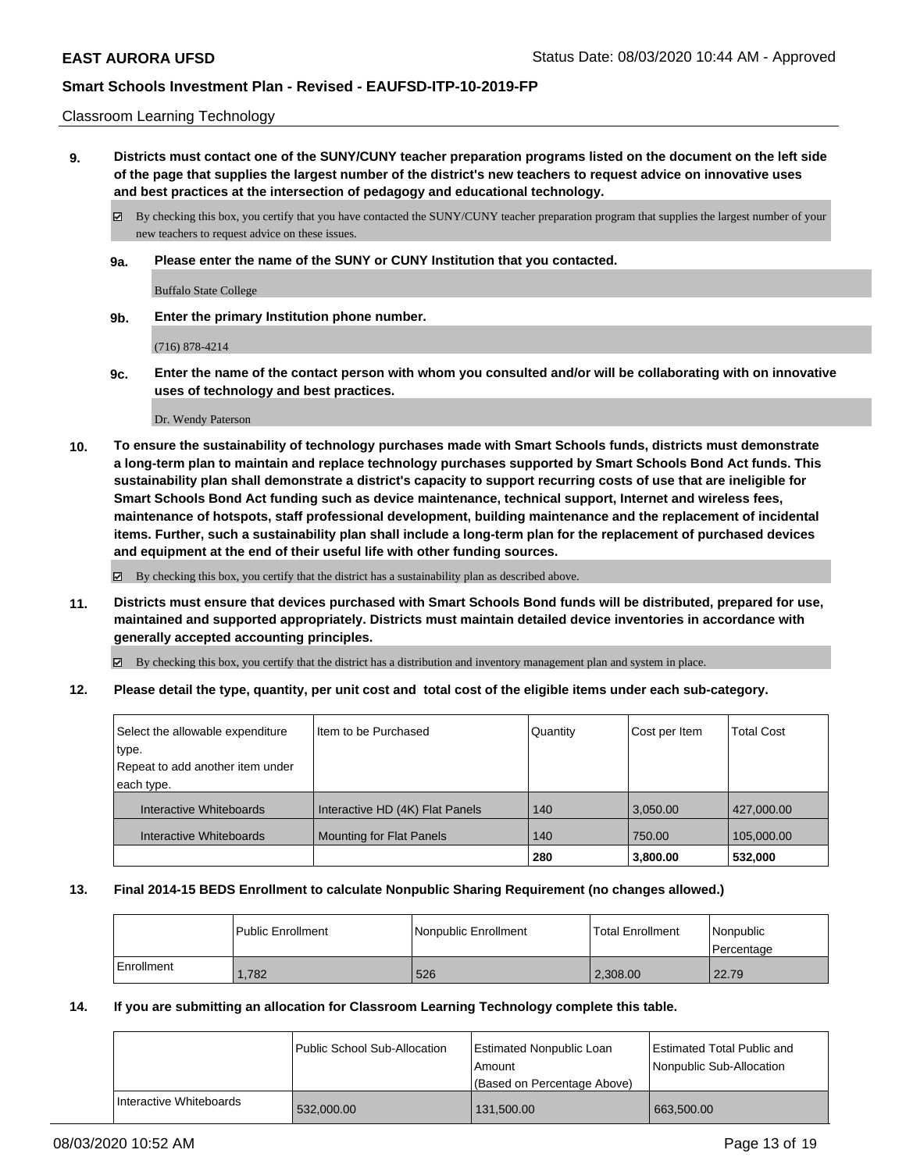### Classroom Learning Technology

**9. Districts must contact one of the SUNY/CUNY teacher preparation programs listed on the document on the left side of the page that supplies the largest number of the district's new teachers to request advice on innovative uses and best practices at the intersection of pedagogy and educational technology.**

By checking this box, you certify that you have contacted the SUNY/CUNY teacher preparation program that supplies the largest number of your new teachers to request advice on these issues.

**9a. Please enter the name of the SUNY or CUNY Institution that you contacted.**

Buffalo State College

**9b. Enter the primary Institution phone number.**

(716) 878-4214

**9c. Enter the name of the contact person with whom you consulted and/or will be collaborating with on innovative uses of technology and best practices.**

Dr. Wendy Paterson

**10. To ensure the sustainability of technology purchases made with Smart Schools funds, districts must demonstrate a long-term plan to maintain and replace technology purchases supported by Smart Schools Bond Act funds. This sustainability plan shall demonstrate a district's capacity to support recurring costs of use that are ineligible for Smart Schools Bond Act funding such as device maintenance, technical support, Internet and wireless fees, maintenance of hotspots, staff professional development, building maintenance and the replacement of incidental items. Further, such a sustainability plan shall include a long-term plan for the replacement of purchased devices and equipment at the end of their useful life with other funding sources.**

By checking this box, you certify that the district has a sustainability plan as described above.

**11. Districts must ensure that devices purchased with Smart Schools Bond funds will be distributed, prepared for use, maintained and supported appropriately. Districts must maintain detailed device inventories in accordance with generally accepted accounting principles.**

By checking this box, you certify that the district has a distribution and inventory management plan and system in place.

**12. Please detail the type, quantity, per unit cost and total cost of the eligible items under each sub-category.**

| Select the allowable expenditure<br>type.<br>Repeat to add another item under | I Item to be Purchased          | Quantity | Cost per Item | <b>Total Cost</b> |
|-------------------------------------------------------------------------------|---------------------------------|----------|---------------|-------------------|
| each type.                                                                    |                                 |          |               |                   |
| Interactive Whiteboards                                                       | Interactive HD (4K) Flat Panels | 140      | 3.050.00      | 427,000.00        |
| Interactive Whiteboards                                                       | <b>Mounting for Flat Panels</b> | 140      | 750.00        | 105,000.00        |
|                                                                               |                                 | 280      | 3,800.00      | 532,000           |

#### **13. Final 2014-15 BEDS Enrollment to calculate Nonpublic Sharing Requirement (no changes allowed.)**

|            | l Public Enrollment | l Nonpublic Enrollment | <b>Total Enrollment</b> | Nonpublic<br>l Percentage |
|------------|---------------------|------------------------|-------------------------|---------------------------|
| Enrollment | 1.782               | 526                    | 2.308.00                | 22.79                     |

### **14. If you are submitting an allocation for Classroom Learning Technology complete this table.**

|                         | Public School Sub-Allocation | Estimated Nonpublic Loan<br>l Amount<br>(Based on Percentage Above) | Estimated Total Public and<br>Nonpublic Sub-Allocation |
|-------------------------|------------------------------|---------------------------------------------------------------------|--------------------------------------------------------|
| Interactive Whiteboards | 532,000.00                   | 131,500.00                                                          | 663,500.00                                             |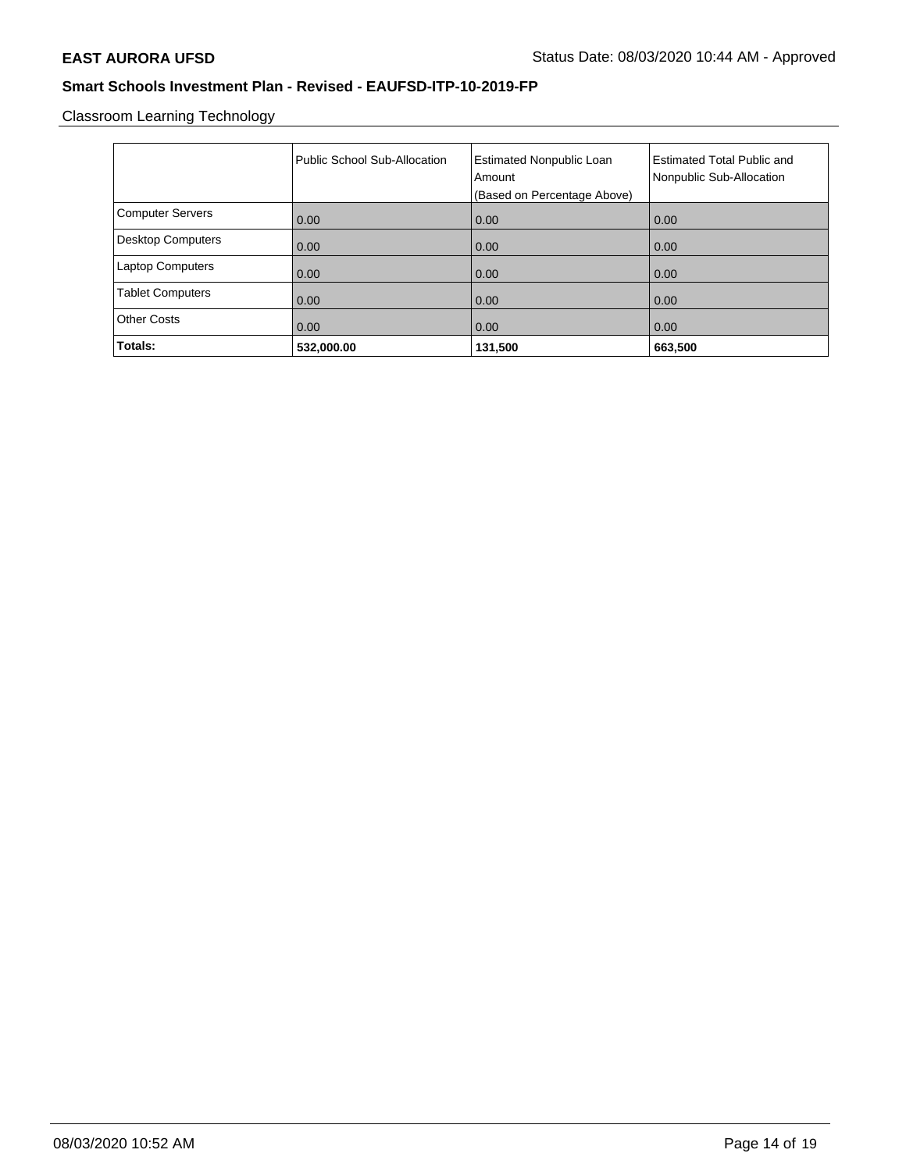Classroom Learning Technology

|                          | Public School Sub-Allocation | <b>Estimated Nonpublic Loan</b><br>Amount<br>(Based on Percentage Above) | <b>Estimated Total Public and</b><br>Nonpublic Sub-Allocation |
|--------------------------|------------------------------|--------------------------------------------------------------------------|---------------------------------------------------------------|
| <b>Computer Servers</b>  | 0.00                         | 0.00                                                                     | 0.00                                                          |
| <b>Desktop Computers</b> | 0.00                         | 0.00                                                                     | 0.00                                                          |
| <b>Laptop Computers</b>  | 0.00                         | 0.00                                                                     | 0.00                                                          |
| <b>Tablet Computers</b>  | 0.00                         | 0.00                                                                     | 0.00                                                          |
| <b>Other Costs</b>       | 0.00                         | 0.00                                                                     | 0.00                                                          |
| Totals:                  | 532,000.00                   | 131,500                                                                  | 663,500                                                       |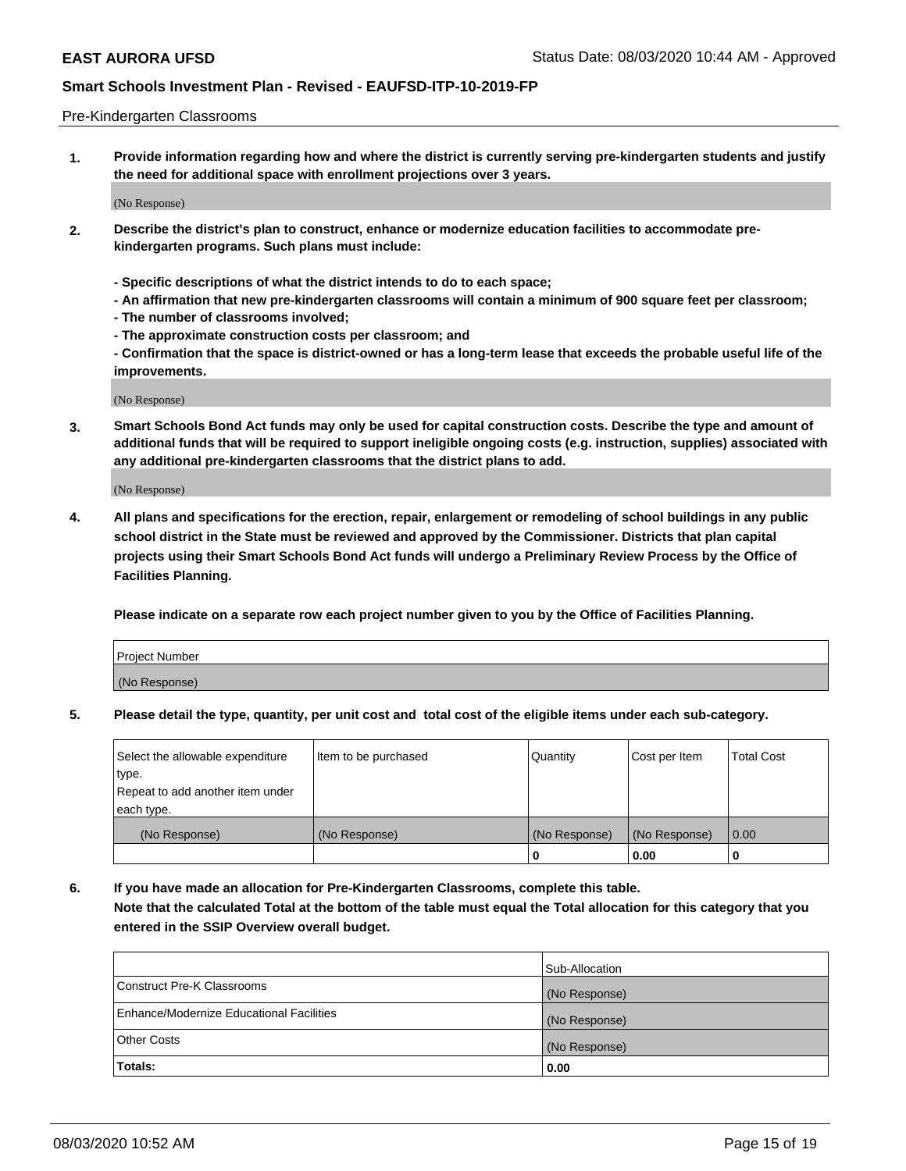### Pre-Kindergarten Classrooms

**1. Provide information regarding how and where the district is currently serving pre-kindergarten students and justify the need for additional space with enrollment projections over 3 years.**

(No Response)

- **2. Describe the district's plan to construct, enhance or modernize education facilities to accommodate prekindergarten programs. Such plans must include:**
	- **Specific descriptions of what the district intends to do to each space;**
	- **An affirmation that new pre-kindergarten classrooms will contain a minimum of 900 square feet per classroom;**
	- **The number of classrooms involved;**
	- **The approximate construction costs per classroom; and**
	- **Confirmation that the space is district-owned or has a long-term lease that exceeds the probable useful life of the improvements.**

(No Response)

**3. Smart Schools Bond Act funds may only be used for capital construction costs. Describe the type and amount of additional funds that will be required to support ineligible ongoing costs (e.g. instruction, supplies) associated with any additional pre-kindergarten classrooms that the district plans to add.**

(No Response)

**4. All plans and specifications for the erection, repair, enlargement or remodeling of school buildings in any public school district in the State must be reviewed and approved by the Commissioner. Districts that plan capital projects using their Smart Schools Bond Act funds will undergo a Preliminary Review Process by the Office of Facilities Planning.**

**Please indicate on a separate row each project number given to you by the Office of Facilities Planning.**

| Project Number |  |
|----------------|--|
| (No Response)  |  |
|                |  |

**5. Please detail the type, quantity, per unit cost and total cost of the eligible items under each sub-category.**

| Select the allowable expenditure | Item to be purchased | Quantity      | Cost per Item | <b>Total Cost</b> |
|----------------------------------|----------------------|---------------|---------------|-------------------|
| type.                            |                      |               |               |                   |
| Repeat to add another item under |                      |               |               |                   |
| each type.                       |                      |               |               |                   |
| (No Response)                    | (No Response)        | (No Response) | (No Response) | 0.00              |
|                                  |                      | U             | 0.00          |                   |

**6. If you have made an allocation for Pre-Kindergarten Classrooms, complete this table. Note that the calculated Total at the bottom of the table must equal the Total allocation for this category that you entered in the SSIP Overview overall budget.**

|                                          | Sub-Allocation |
|------------------------------------------|----------------|
| Construct Pre-K Classrooms               | (No Response)  |
| Enhance/Modernize Educational Facilities | (No Response)  |
| <b>Other Costs</b>                       | (No Response)  |
| Totals:                                  | 0.00           |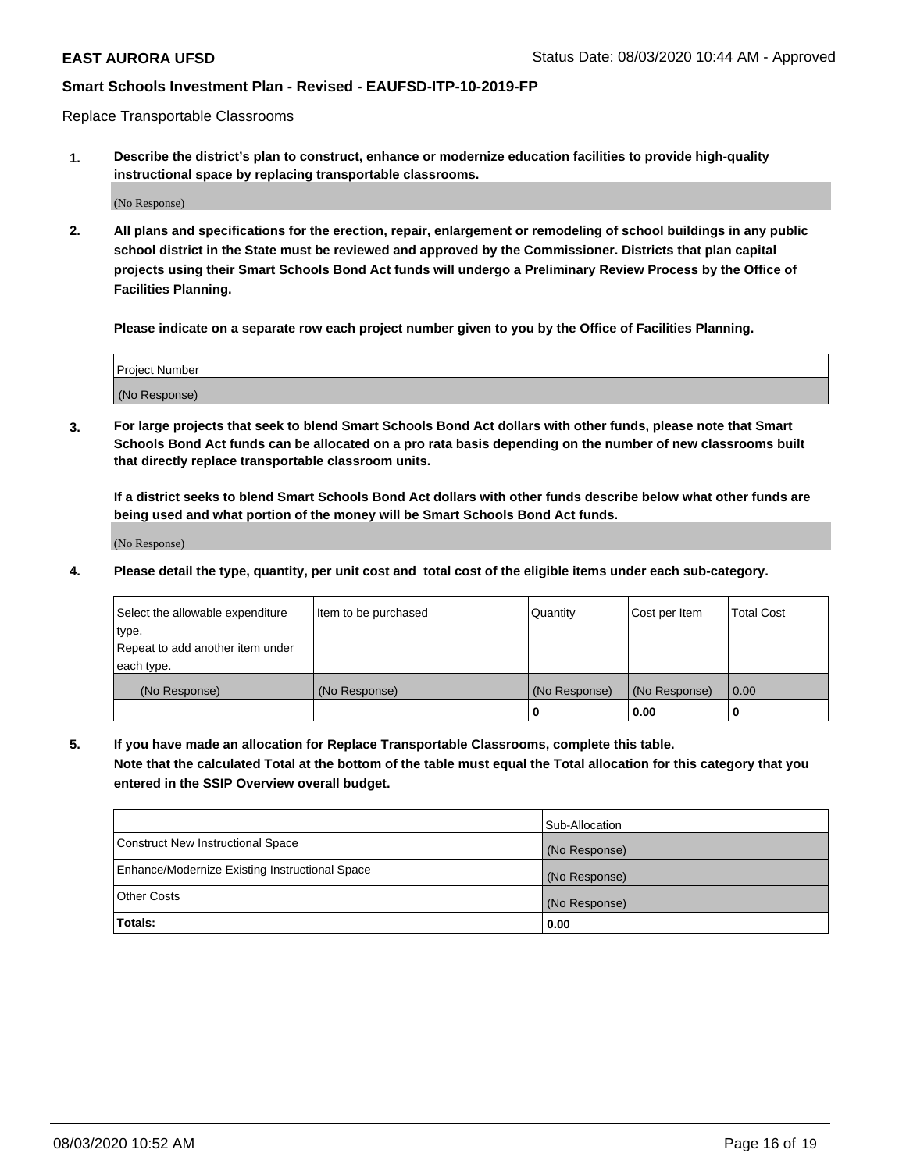Replace Transportable Classrooms

**1. Describe the district's plan to construct, enhance or modernize education facilities to provide high-quality instructional space by replacing transportable classrooms.**

(No Response)

**2. All plans and specifications for the erection, repair, enlargement or remodeling of school buildings in any public school district in the State must be reviewed and approved by the Commissioner. Districts that plan capital projects using their Smart Schools Bond Act funds will undergo a Preliminary Review Process by the Office of Facilities Planning.**

**Please indicate on a separate row each project number given to you by the Office of Facilities Planning.**

| Project Number |  |
|----------------|--|
|                |  |
|                |  |
|                |  |
|                |  |
| (No Response)  |  |
|                |  |
|                |  |
|                |  |

**3. For large projects that seek to blend Smart Schools Bond Act dollars with other funds, please note that Smart Schools Bond Act funds can be allocated on a pro rata basis depending on the number of new classrooms built that directly replace transportable classroom units.**

**If a district seeks to blend Smart Schools Bond Act dollars with other funds describe below what other funds are being used and what portion of the money will be Smart Schools Bond Act funds.**

(No Response)

**4. Please detail the type, quantity, per unit cost and total cost of the eligible items under each sub-category.**

| Select the allowable expenditure | Item to be purchased | Quantity      | Cost per Item | Total Cost |
|----------------------------------|----------------------|---------------|---------------|------------|
| ∣type.                           |                      |               |               |            |
| Repeat to add another item under |                      |               |               |            |
| each type.                       |                      |               |               |            |
| (No Response)                    | (No Response)        | (No Response) | (No Response) | 0.00       |
|                                  |                      | u             | 0.00          |            |

**5. If you have made an allocation for Replace Transportable Classrooms, complete this table. Note that the calculated Total at the bottom of the table must equal the Total allocation for this category that you entered in the SSIP Overview overall budget.**

|                                                | Sub-Allocation |
|------------------------------------------------|----------------|
| Construct New Instructional Space              | (No Response)  |
| Enhance/Modernize Existing Instructional Space | (No Response)  |
| Other Costs                                    | (No Response)  |
| Totals:                                        | 0.00           |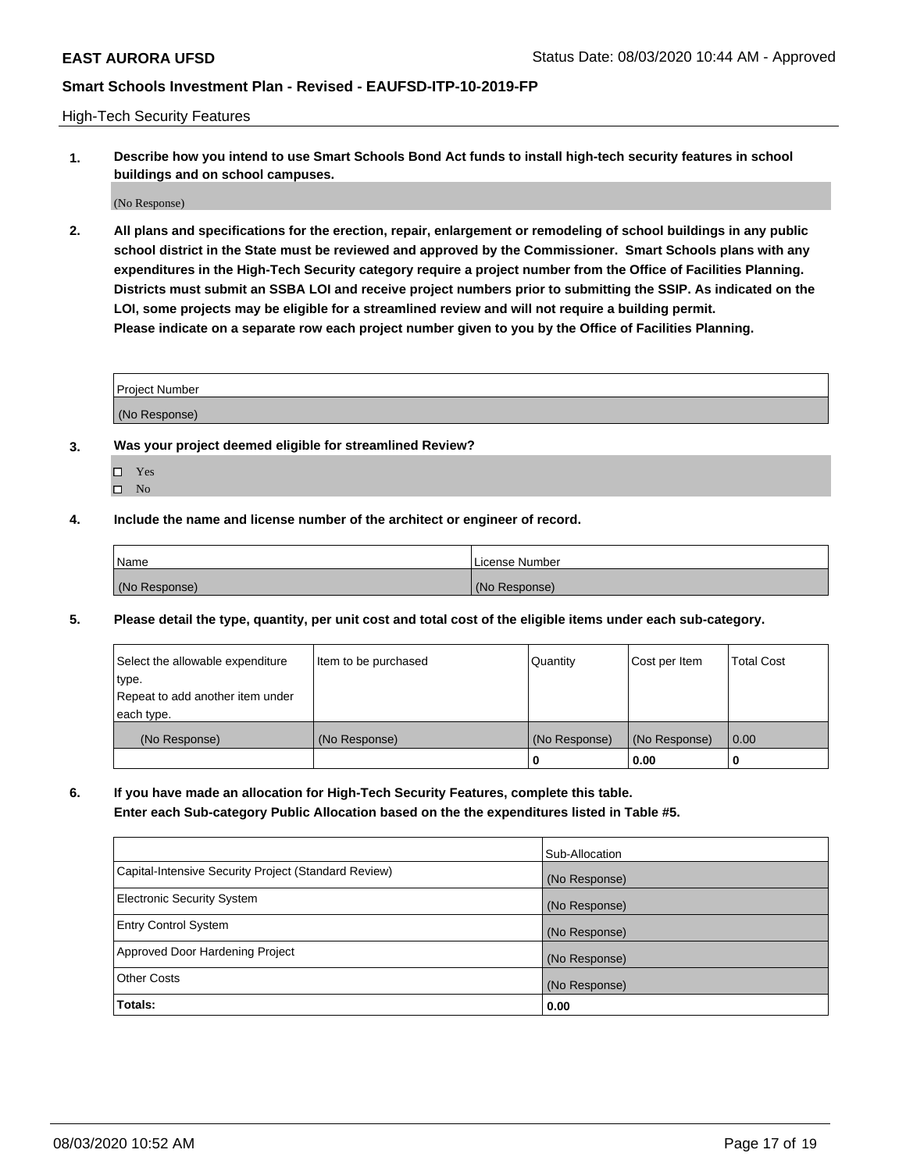High-Tech Security Features

**1. Describe how you intend to use Smart Schools Bond Act funds to install high-tech security features in school buildings and on school campuses.**

(No Response)

**2. All plans and specifications for the erection, repair, enlargement or remodeling of school buildings in any public school district in the State must be reviewed and approved by the Commissioner. Smart Schools plans with any expenditures in the High-Tech Security category require a project number from the Office of Facilities Planning. Districts must submit an SSBA LOI and receive project numbers prior to submitting the SSIP. As indicated on the LOI, some projects may be eligible for a streamlined review and will not require a building permit. Please indicate on a separate row each project number given to you by the Office of Facilities Planning.**

| <b>Project Number</b> |  |
|-----------------------|--|
|                       |  |
| (No Response)         |  |

- **3. Was your project deemed eligible for streamlined Review?**
	- Yes
	- $\hfill \square$  No
- **4. Include the name and license number of the architect or engineer of record.**

| Name          | License Number |
|---------------|----------------|
| (No Response) | (No Response)  |

**5. Please detail the type, quantity, per unit cost and total cost of the eligible items under each sub-category.**

| Select the allowable expenditure | Item to be purchased | Quantity      | Cost per Item | Total Cost |
|----------------------------------|----------------------|---------------|---------------|------------|
| 'type.                           |                      |               |               |            |
| Repeat to add another item under |                      |               |               |            |
| each type.                       |                      |               |               |            |
| (No Response)                    | (No Response)        | (No Response) | (No Response) | 0.00       |
|                                  |                      | u             | 0.00          |            |

**6. If you have made an allocation for High-Tech Security Features, complete this table.**

**Enter each Sub-category Public Allocation based on the the expenditures listed in Table #5.**

|                                                      | Sub-Allocation |
|------------------------------------------------------|----------------|
| Capital-Intensive Security Project (Standard Review) | (No Response)  |
| <b>Electronic Security System</b>                    | (No Response)  |
| <b>Entry Control System</b>                          | (No Response)  |
| Approved Door Hardening Project                      | (No Response)  |
| <b>Other Costs</b>                                   | (No Response)  |
| Totals:                                              | 0.00           |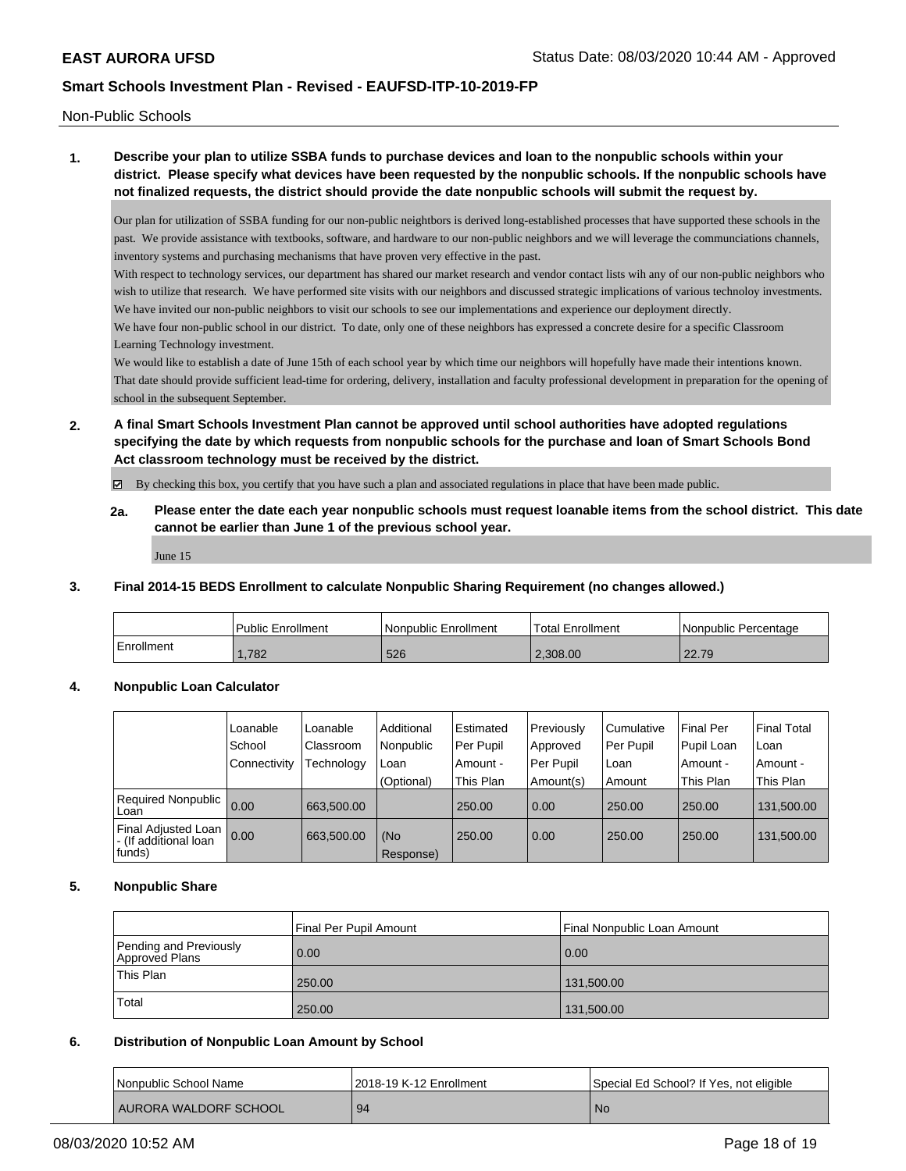Non-Public Schools

# **1. Describe your plan to utilize SSBA funds to purchase devices and loan to the nonpublic schools within your district. Please specify what devices have been requested by the nonpublic schools. If the nonpublic schools have not finalized requests, the district should provide the date nonpublic schools will submit the request by.**

Our plan for utilization of SSBA funding for our non-public neightbors is derived long-established processes that have supported these schools in the past. We provide assistance with textbooks, software, and hardware to our non-public neighbors and we will leverage the communciations channels, inventory systems and purchasing mechanisms that have proven very effective in the past.

With respect to technology services, our department has shared our market research and vendor contact lists wih any of our non-public neighbors who wish to utilize that research. We have performed site visits with our neighbors and discussed strategic implications of various technoloy investments. We have invited our non-public neighbors to visit our schools to see our implementations and experience our deployment directly.

We have four non-public school in our district. To date, only one of these neighbors has expressed a concrete desire for a specific Classroom Learning Technology investment.

We would like to establish a date of June 15th of each school year by which time our neighbors will hopefully have made their intentions known. That date should provide sufficient lead-time for ordering, delivery, installation and faculty professional development in preparation for the opening of school in the subsequent September.

**2. A final Smart Schools Investment Plan cannot be approved until school authorities have adopted regulations specifying the date by which requests from nonpublic schools for the purchase and loan of Smart Schools Bond Act classroom technology must be received by the district.**

By checking this box, you certify that you have such a plan and associated regulations in place that have been made public.

**2a. Please enter the date each year nonpublic schools must request loanable items from the school district. This date cannot be earlier than June 1 of the previous school year.**

June 15

### **3. Final 2014-15 BEDS Enrollment to calculate Nonpublic Sharing Requirement (no changes allowed.)**

|            | l Public Enrollment | l Nonpublic Enrollment | <sup>1</sup> Total Enrollment | Nonpublic Percentage |
|------------|---------------------|------------------------|-------------------------------|----------------------|
| Enrollment | .782                | 526                    | 2.308.00                      | 22.79                |

### **4. Nonpublic Loan Calculator**

|                                                        | l Loanable     | Loanable          | Additional       | l Estimated | Previously | l Cumulative | <b>Final Per</b> | Final Total |
|--------------------------------------------------------|----------------|-------------------|------------------|-------------|------------|--------------|------------------|-------------|
|                                                        | School         | <b>Classroom</b>  | Nonpublic        | Per Pupil   | Approved   | Per Pupil    | Pupil Loan       | l Loan      |
|                                                        | l Connectivity | <b>Technology</b> | Loan             | Amount -    | Per Pupil  | Loan         | Amount -         | Amount -    |
|                                                        |                |                   | (Optional)       | This Plan   | Amount(s)  | Amount       | This Plan        | This Plan   |
| Required Nonpublic<br>Loan                             | 0.00           | 663.500.00        |                  | 250.00      | 0.00       | 250.00       | 250.00           | 131,500.00  |
| Final Adjusted Loan<br>- (If additional loan<br>funds) | 0.00           | 663.500.00        | (No<br>Response) | 250.00      | 0.00       | 250.00       | 250.00           | 131,500.00  |

### **5. Nonpublic Share**

|                                          | Final Per Pupil Amount | Final Nonpublic Loan Amount |
|------------------------------------------|------------------------|-----------------------------|
| Pending and Previously<br>Approved Plans | 0.00                   | $\vert$ 0.00                |
| <b>This Plan</b>                         | 250.00                 | 131.500.00                  |
| Total                                    | 250.00                 | 131,500.00                  |

### **6. Distribution of Nonpublic Loan Amount by School**

| Nonpublic School Name | 2018-19 K-12 Enrollment | Special Ed School? If Yes, not eligible |
|-----------------------|-------------------------|-----------------------------------------|
| AURORA WALDORF SCHOOL | 94                      | <b>No</b>                               |